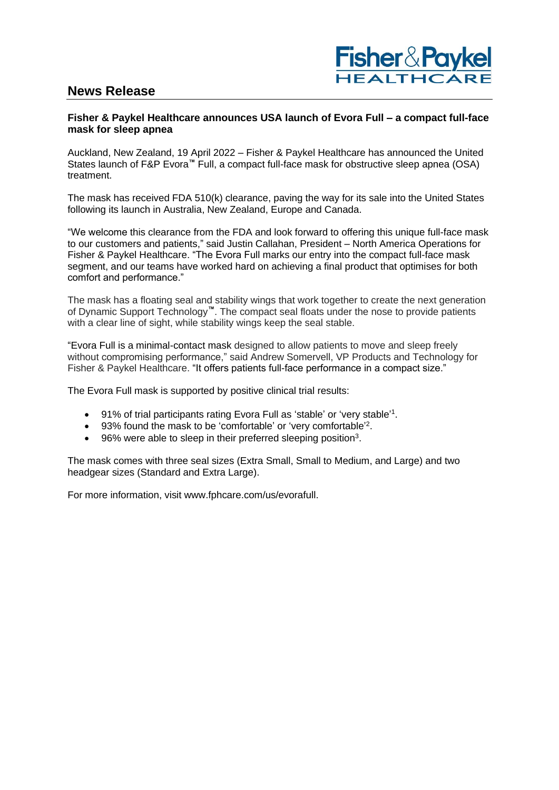# **News Release**



# **Fisher & Paykel Healthcare announces USA launch of Evora Full – a compact full-face mask for sleep apnea**

Auckland, New Zealand, 19 April 2022 – Fisher & Paykel Healthcare has announced the United States launch of F&P Evora**™** Full, a compact full-face mask for obstructive sleep apnea (OSA) treatment.

The mask has received FDA 510(k) clearance, paving the way for its sale into the United States following its launch in Australia, New Zealand, Europe and Canada.

"We welcome this clearance from the FDA and look forward to offering this unique full-face mask to our customers and patients," said Justin Callahan, President – North America Operations for Fisher & Paykel Healthcare. "The Evora Full marks our entry into the compact full-face mask segment, and our teams have worked hard on achieving a final product that optimises for both comfort and performance."

The mask has a floating seal and stability wings that work together to create the next generation of Dynamic Support Technology**™**. The compact seal floats under the nose to provide patients with a clear line of sight, while stability wings keep the seal stable.

"Evora Full is a minimal-contact mask designed to allow patients to move and sleep freely without compromising performance," said Andrew Somervell, VP Products and Technology for Fisher & Paykel Healthcare. "It offers patients full-face performance in a compact size."

The Evora Full mask is supported by positive clinical trial results:

- 91% of trial participants rating Evora Full as 'stable' or 'very stable'<sup>1</sup>.
- 93% found the mask to be 'comfortable' or 'very comfortable'<sup>2</sup>.
- $\bullet$  96% were able to sleep in their preferred sleeping position<sup>3</sup>.

The mask comes with three seal sizes (Extra Small, Small to Medium, and Large) and two headgear sizes (Standard and Extra Large).

For more information, visit www.fphcare.com/us/evorafull.